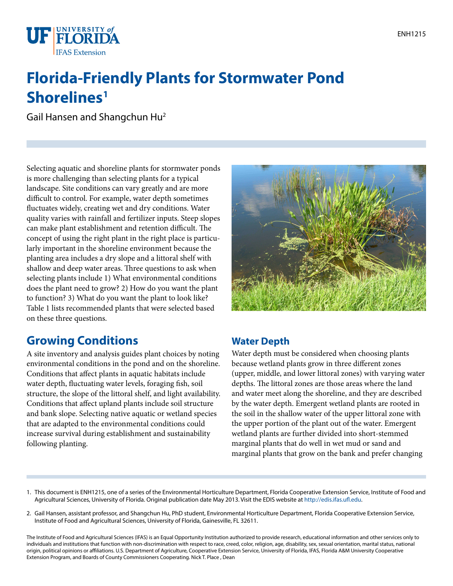

# **Florida-Friendly Plants for Stormwater Pond Shorelines1**

Gail Hansen and Shangchun Hu2

Selecting aquatic and shoreline plants for stormwater ponds is more challenging than selecting plants for a typical landscape. Site conditions can vary greatly and are more difficult to control. For example, water depth sometimes fluctuates widely, creating wet and dry conditions. Water quality varies with rainfall and fertilizer inputs. Steep slopes can make plant establishment and retention difficult. The concept of using the right plant in the right place is particularly important in the shoreline environment because the planting area includes a dry slope and a littoral shelf with shallow and deep water areas. Three questions to ask when selecting plants include 1) What environmental conditions does the plant need to grow? 2) How do you want the plant to function? 3) What do you want the plant to look like? Table 1 lists recommended plants that were selected based on these three questions.

### **Growing Conditions**

A site inventory and analysis guides plant choices by noting environmental conditions in the pond and on the shoreline. Conditions that affect plants in aquatic habitats include water depth, fluctuating water levels, foraging fish, soil structure, the slope of the littoral shelf, and light availability. Conditions that affect upland plants include soil structure and bank slope. Selecting native aquatic or wetland species that are adapted to the environmental conditions could increase survival during establishment and sustainability following planting.



### **Water Depth**

Water depth must be considered when choosing plants because wetland plants grow in three different zones (upper, middle, and lower littoral zones) with varying water depths. The littoral zones are those areas where the land and water meet along the shoreline, and they are described by the water depth. Emergent wetland plants are rooted in the soil in the shallow water of the upper littoral zone with the upper portion of the plant out of the water. Emergent wetland plants are further divided into short-stemmed marginal plants that do well in wet mud or sand and marginal plants that grow on the bank and prefer changing

- 1. This document is ENH1215, one of a series of the Environmental Horticulture Department, Florida Cooperative Extension Service, Institute of Food and Agricultural Sciences, University of Florida. Original publication date May 2013. Visit the EDIS website at<http://edis.ifas.ufl.edu>.
- 2. Gail Hansen, assistant professor, and Shangchun Hu, PhD student, Environmental Horticulture Department, Florida Cooperative Extension Service, Institute of Food and Agricultural Sciences, University of Florida, Gainesville, FL 32611.

The Institute of Food and Agricultural Sciences (IFAS) is an Equal Opportunity Institution authorized to provide research, educational information and other services only to individuals and institutions that function with non-discrimination with respect to race, creed, color, religion, age, disability, sex, sexual orientation, marital status, national origin, political opinions or affiliations. U.S. Department of Agriculture, Cooperative Extension Service, University of Florida, IFAS, Florida A&M University Cooperative Extension Program, and Boards of County Commissioners Cooperating. Nick T. Place , Dean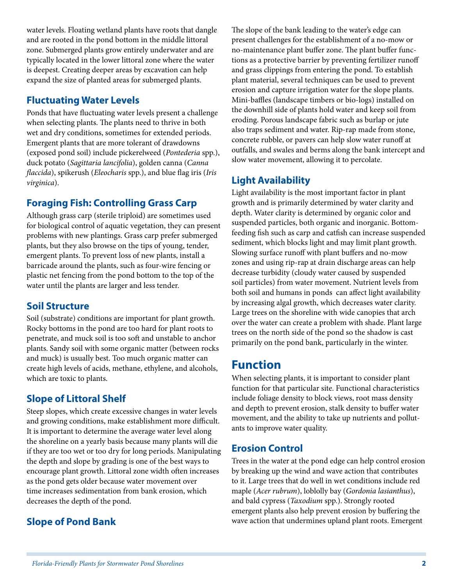water levels. Floating wetland plants have roots that dangle and are rooted in the pond bottom in the middle littoral zone. Submerged plants grow entirely underwater and are typically located in the lower littoral zone where the water is deepest. Creating deeper areas by excavation can help expand the size of planted areas for submerged plants.

#### **Fluctuating Water Levels**

Ponds that have fluctuating water levels present a challenge when selecting plants. The plants need to thrive in both wet and dry conditions, sometimes for extended periods. Emergent plants that are more tolerant of drawdowns (exposed pond soil) include pickerelweed (*Pontederia* spp.), duck potato (*Sagittaria lancifolia*), golden canna (*Canna flaccida*), spikerush (*Eleocharis* spp.), and blue flag iris (*Iris virginica*).

#### **Foraging Fish: Controlling Grass Carp**

Although grass carp (sterile triploid) are sometimes used for biological control of aquatic vegetation, they can present problems with new plantings. Grass carp prefer submerged plants, but they also browse on the tips of young, tender, emergent plants. To prevent loss of new plants, install a barricade around the plants, such as four-wire fencing or plastic net fencing from the pond bottom to the top of the water until the plants are larger and less tender.

#### **Soil Structure**

Soil (substrate) conditions are important for plant growth. Rocky bottoms in the pond are too hard for plant roots to penetrate, and muck soil is too soft and unstable to anchor plants. Sandy soil with some organic matter (between rocks and muck) is usually best. Too much organic matter can create high levels of acids, methane, ethylene, and alcohols, which are toxic to plants.

### **Slope of Littoral Shelf**

Steep slopes, which create excessive changes in water levels and growing conditions, make establishment more difficult. It is important to determine the average water level along the shoreline on a yearly basis because many plants will die if they are too wet or too dry for long periods. Manipulating the depth and slope by grading is one of the best ways to encourage plant growth. Littoral zone width often increases as the pond gets older because water movement over time increases sedimentation from bank erosion, which decreases the depth of the pond.

### **Slope of Pond Bank**

The slope of the bank leading to the water's edge can present challenges for the establishment of a no-mow or no-maintenance plant buffer zone. The plant buffer functions as a protective barrier by preventing fertilizer runoff and grass clippings from entering the pond. To establish plant material, several techniques can be used to prevent erosion and capture irrigation water for the slope plants. Mini-baffles (landscape timbers or bio-logs) installed on the downhill side of plants hold water and keep soil from eroding. Porous landscape fabric such as burlap or jute also traps sediment and water. Rip-rap made from stone, concrete rubble, or pavers can help slow water runoff at outfalls, and swales and berms along the bank intercept and slow water movement, allowing it to percolate.

#### **Light Availability**

Light availability is the most important factor in plant growth and is primarily determined by water clarity and depth. Water clarity is determined by organic color and suspended particles, both organic and inorganic. Bottomfeeding fish such as carp and catfish can increase suspended sediment, which blocks light and may limit plant growth. Slowing surface runoff with plant buffers and no-mow zones and using rip-rap at drain discharge areas can help decrease turbidity (cloudy water caused by suspended soil particles) from water movement. Nutrient levels from both soil and humans in ponds can affect light availability by increasing algal growth, which decreases water clarity. Large trees on the shoreline with wide canopies that arch over the water can create a problem with shade. Plant large trees on the north side of the pond so the shadow is cast primarily on the pond bank, particularly in the winter.

### **Function**

When selecting plants, it is important to consider plant function for that particular site. Functional characteristics include foliage density to block views, root mass density and depth to prevent erosion, stalk density to buffer water movement, and the ability to take up nutrients and pollutants to improve water quality.

#### **Erosion Control**

Trees in the water at the pond edge can help control erosion by breaking up the wind and wave action that contributes to it. Large trees that do well in wet conditions include red maple (*Acer rubrum*), loblolly bay (*Gordonia lasianthus*), and bald cypress (*Taxodium* spp.). Strongly rooted emergent plants also help prevent erosion by buffering the wave action that undermines upland plant roots. Emergent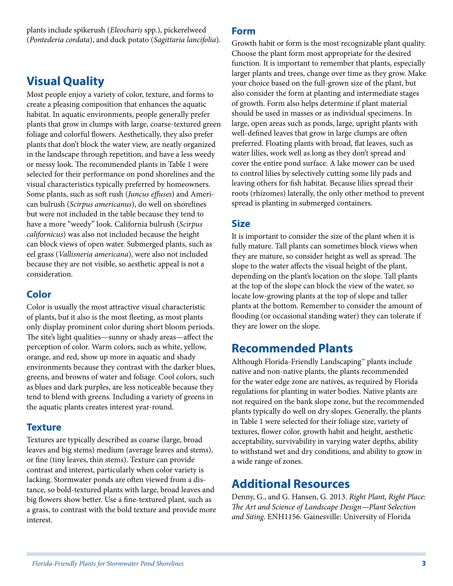plants include spikerush (*Eleocharis* spp.), pickerelweed (*Pontederia cordata*), and duck potato (*Sagittaria lancifolia*).

## **Visual Quality**

Most people enjoy a variety of color, texture, and forms to create a pleasing composition that enhances the aquatic habitat. In aquatic environments, people generally prefer plants that grow in clumps with large, coarse-textured green foliage and colorful flowers. Aesthetically, they also prefer plants that don't block the water view, are neatly organized in the landscape through repetition, and have a less weedy or messy look. The recommended plants in Table 1 were selected for their performance on pond shorelines and the visual characteristics typically preferred by homeowners. Some plants, such as soft rush (*Juncus effuses*) and American bulrush (*Scirpus americanus*), do well on shorelines but were not included in the table because they tend to have a more "weedy" look. California bulrush (*Scirpus californicus*) was also not included because the height can block views of open water. Submerged plants, such as eel grass (*Vallisneria americana*), were also not included because they are not visible, so aesthetic appeal is not a consideration.

#### **Color**

Color is usually the most attractive visual characteristic of plants, but it also is the most fleeting, as most plants only display prominent color during short bloom periods. The site's light qualities—sunny or shady areas—affect the perception of color. Warm colors, such as white, yellow, orange, and red, show up more in aquatic and shady environments because they contrast with the darker blues, greens, and browns of water and foliage. Cool colors, such as blues and dark purples, are less noticeable because they tend to blend with greens. Including a variety of greens in the aquatic plants creates interest year-round.

#### **Texture**

Textures are typically described as coarse (large, broad leaves and big stems) medium (average leaves and stems), or fine (tiny leaves, thin stems). Texture can provide contrast and interest, particularly when color variety is lacking. Stormwater ponds are often viewed from a distance, so bold-textured plants with large, broad leaves and big flowers show better. Use a fine-textured plant, such as a grass, to contrast with the bold texture and provide more interest.

#### **Form**

Growth habit or form is the most recognizable plant quality. Choose the plant form most appropriate for the desired function. It is important to remember that plants, especially larger plants and trees, change over time as they grow. Make your choice based on the full-grown size of the plant, but also consider the form at planting and intermediate stages of growth. Form also helps determine if plant material should be used in masses or as individual specimens. In large, open areas such as ponds, large, upright plants with well-defined leaves that grow in large clumps are often preferred. Floating plants with broad, flat leaves, such as water lilies, work well as long as they don't spread and cover the entire pond surface. A lake mower can be used to control lilies by selectively cutting some lily pads and leaving others for fish habitat. Because lilies spread their roots (rhizomes) laterally, the only other method to prevent spread is planting in submerged containers.

#### **Size**

It is important to consider the size of the plant when it is fully mature. Tall plants can sometimes block views when they are mature, so consider height as well as spread. The slope to the water affects the visual height of the plant, depending on the plant's location on the slope. Tall plants at the top of the slope can block the view of the water, so locate low-growing plants at the top of slope and taller plants at the bottom. Remember to consider the amount of flooding (or occasional standing water) they can tolerate if they are lower on the slope.

### **Recommended Plants**

Although Florida-Friendly Landscaping™ plants include native and non-native plants, the plants recommended for the water edge zone are natives, as required by Florida regulations for planting in water bodies. Native plants are not required on the bank slope zone, but the recommended plants typically do well on dry slopes. Generally, the plants in Table 1 were selected for their foliage size, variety of textures, flower color, growth habit and height, aesthetic acceptability, survivability in varying water depths, ability to withstand wet and dry conditions, and ability to grow in a wide range of zones.

### **Additional Resources**

Denny, G., and G. Hansen, G. 2013. *Right Plant, Right Place: The Art and Science of Landscape Design—Plant Selection and Siting*. ENH1156. Gainesville: University of Florida